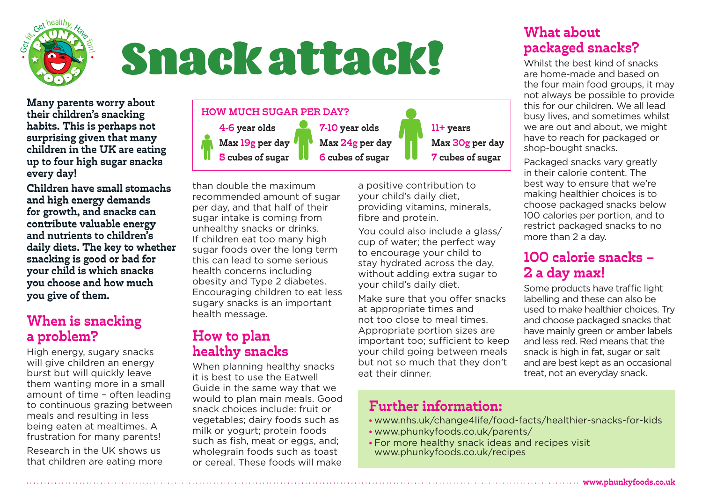

# Snack attack!

**Many parents worry about their children's snacking habits. This is perhaps not surprising given that many children in the UK are eating up to four high sugar snacks every day!** 

**Children have small stomachs and high energy demands for growth, and snacks can contribute valuable energy and nutrients to children's daily diets. The key to whether snacking is good or bad for your child is which snacks you choose and how much you give of them.**

#### **When is snacking a problem?**

High energy, sugary snacks will give children an energy burst but will quickly leave them wanting more in a small amount of time – often leading to continuous grazing between meals and resulting in less being eaten at mealtimes. A frustration for many parents!

Research in the UK shows us that children are eating more



than double the maximum recommended amount of sugar per day, and that half of their sugar intake is coming from unhealthy snacks or drinks. If children eat too many high sugar foods over the long term this can lead to some serious health concerns including obesity and Type 2 diabetes. Encouraging children to eat less sugary snacks is an important health message.

#### **How to plan healthy snacks**

When planning healthy snacks it is best to use the Eatwell Guide in the same way that we would to plan main meals. Good snack choices include: fruit or vegetables; dairy foods such as milk or yogurt; protein foods such as fish, meat or eggs, and: wholegrain foods such as toast or cereal. These foods will make

a positive contribution to your child's daily diet, providing vitamins, minerals, fibre and protein.

You could also include a glass/ cup of water; the perfect way to encourage your child to stay hydrated across the day, without adding extra sugar to your child's daily diet.

Make sure that you offer snacks at appropriate times and not too close to meal times. Appropriate portion sizes are important too; sufficient to keep your child going between meals but not so much that they don't eat their dinner.

#### **What about packaged snacks?**

Whilst the best kind of snacks are home-made and based on the four main food groups, it may not always be possible to provide this for our children. We all lead busy lives, and sometimes whilst we are out and about, we might have to reach for packaged or shop-bought snacks.

Packaged snacks vary greatly in their calorie content. The best way to ensure that we're making healthier choices is to choose packaged snacks below 100 calories per portion, and to restrict packaged snacks to no more than 2 a day.

#### **100 calorie snacks – 2 a day max!**

Some products have traffic light labelling and these can also be used to make healthier choices. Try and choose packaged snacks that have mainly green or amber labels and less red. Red means that the snack is high in fat, sugar or salt and are best kept as an occasional treat, not an everyday snack.

#### **Further information:**

- www.nhs.uk/change4life/food-facts/healthier-snacks-for-kids
- www.phunkyfoods.co.uk/parents/
- For more healthy snack ideas and recipes visit www.phunkyfoods.co.uk/recipes